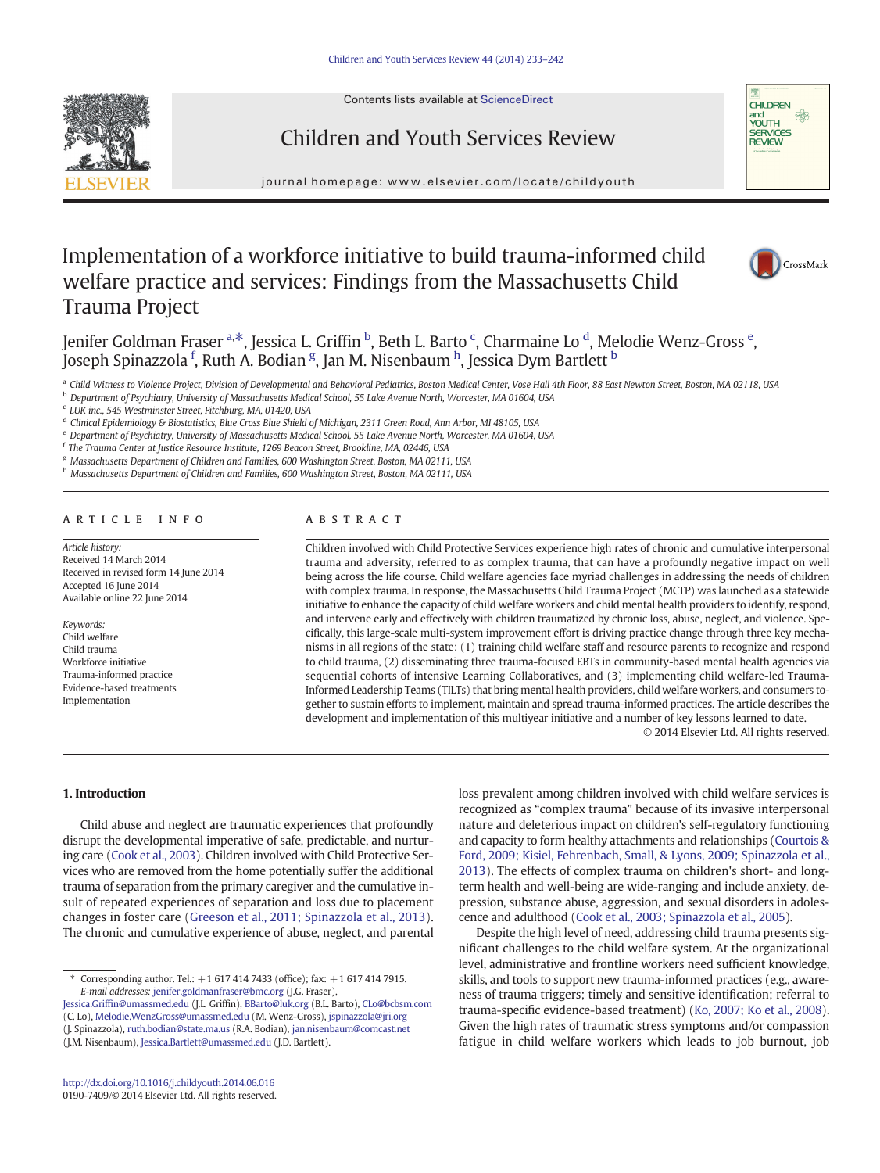

# Children and Youth Services Review



journal homepage: www.elsevier.com/locate/childyouth

# Implementation of a workforce initiative to build trauma-informed child welfare practice and services: Findings from the Massachusetts Child Trauma Project



Jenifer Goldman Fraser <sup>a,\*</sup>, Jessica L. Griffin <sup>b</sup>, Beth L. Barto <sup>c</sup>, Charmaine Lo <sup>d</sup>, Melodie Wenz-Gross <sup>e</sup>, Joseph Spinazzola <sup>f</sup>, Ruth A. Bodian <sup>g</sup>, Jan M. Nisenbaum <sup>h</sup>, Jessica Dym Bartlett <sup>b</sup>

a Child Witness to Violence Project, Division of Developmental and Behavioral Pediatrics, Boston Medical Center, Vose Hall 4th Floor, 88 East Newton Street, Boston, MA 02118, USA

<sup>b</sup> Department of Psychiatry, University of Massachusetts Medical School, 55 Lake Avenue North, Worcester, MA 01604, USA

<sup>c</sup> LUK inc., 545 Westminster Street, Fitchburg, MA, 01420, USA

<sup>d</sup> Clinical Epidemiology & Biostatistics, Blue Cross Blue Shield of Michigan, 2311 Green Road, Ann Arbor, MI 48105, USA

 $\rm ^e$  Department of Psychiatry, University of Massachusetts Medical School, 55 Lake Avenue North, Worcester, MA 01604, USA

<sup>f</sup> The Trauma Center at Justice Resource Institute, 1269 Beacon Street, Brookline, MA, 02446, USA

<sup>g</sup> Massachusetts Department of Children and Families, 600 Washington Street, Boston, MA 02111, USA

h Massachusetts Department of Children and Families, 600 Washington Street, Boston, MA 02111, USA

## article info abstract

Article history: Received 14 March 2014 Received in revised form 14 June 2014 Accepted 16 June 2014 Available online 22 June 2014

Keywords: Child welfare Child trauma Workforce initiative Trauma-informed practice Evidence-based treatments Implementation

Children involved with Child Protective Services experience high rates of chronic and cumulative interpersonal trauma and adversity, referred to as complex trauma, that can have a profoundly negative impact on well being across the life course. Child welfare agencies face myriad challenges in addressing the needs of children with complex trauma. In response, the Massachusetts Child Trauma Project (MCTP) was launched as a statewide initiative to enhance the capacity of child welfare workers and child mental health providers to identify, respond, and intervene early and effectively with children traumatized by chronic loss, abuse, neglect, and violence. Specifically, this large-scale multi-system improvement effort is driving practice change through three key mechanisms in all regions of the state: (1) training child welfare staff and resource parents to recognize and respond to child trauma, (2) disseminating three trauma-focused EBTs in community-based mental health agencies via sequential cohorts of intensive Learning Collaboratives, and (3) implementing child welfare-led Trauma-Informed Leadership Teams (TILTs) that bring mental health providers, child welfare workers, and consumers together to sustain efforts to implement, maintain and spread trauma-informed practices. The article describes the development and implementation of this multiyear initiative and a number of key lessons learned to date. © 2014 Elsevier Ltd. All rights reserved.

1. Introduction

Child abuse and neglect are traumatic experiences that profoundly disrupt the developmental imperative of safe, predictable, and nurturing care [\(Cook et al., 2003](#page-8-0)). Children involved with Child Protective Services who are removed from the home potentially suffer the additional trauma of separation from the primary caregiver and the cumulative insult of repeated experiences of separation and loss due to placement changes in foster care ([Greeson et al., 2011; Spinazzola et al., 2013](#page-8-0)). The chronic and cumulative experience of abuse, neglect, and parental

(J.M. Nisenbaum), [Jessica.Bartlett@umassmed.edu](mailto:Jessica.Bartlett@umassmed.edu) (J.D. Bartlett).

loss prevalent among children involved with child welfare services is recognized as "complex trauma" because of its invasive interpersonal nature and deleterious impact on children's self-regulatory functioning and capacity to form healthy attachments and relationships ([Courtois &](#page-8-0) [Ford, 2009; Kisiel, Fehrenbach, Small, & Lyons, 2009; Spinazzola et al.,](#page-8-0) [2013\)](#page-8-0). The effects of complex trauma on children's short- and longterm health and well-being are wide-ranging and include anxiety, depression, substance abuse, aggression, and sexual disorders in adolescence and adulthood [\(Cook et al., 2003; Spinazzola et al., 2005\)](#page-8-0).

Despite the high level of need, addressing child trauma presents significant challenges to the child welfare system. At the organizational level, administrative and frontline workers need sufficient knowledge, skills, and tools to support new trauma-informed practices (e.g., awareness of trauma triggers; timely and sensitive identification; referral to trauma-specific evidence-based treatment) [\(Ko, 2007; Ko et al., 2008](#page-8-0)). Given the high rates of traumatic stress symptoms and/or compassion fatigue in child welfare workers which leads to job burnout, job

Corresponding author. Tel.:  $+16174147433$  (office); fax:  $+16174147915$ . E-mail addresses: [jenifer.goldmanfraser@bmc.org](mailto:jenifer.goldmanfraser@bmc.org) (J.G. Fraser),

Jessica.Griffi[n@umassmed.edu](mailto:Jessica.Griffin@umassmed.edu) (J.L. Griffin), [BBarto@luk.org](mailto:BBarto@luk.org) (B.L. Barto), [CLo@bcbsm.com](mailto:CLo@bcbsm.com) (C. Lo), [Melodie.WenzGross@umassmed.edu](mailto:Melodie.WenzGross@umassmed.edu) (M. Wenz-Gross), [jspinazzola@jri.org](mailto:jspinazzola@jri.org) (J. Spinazzola), [ruth.bodian@state.ma.us](mailto:ruth.bodian@state.ma.us) (R.A. Bodian), [jan.nisenbaum@comcast.net](mailto:jan.nisenbaum@comcast.net)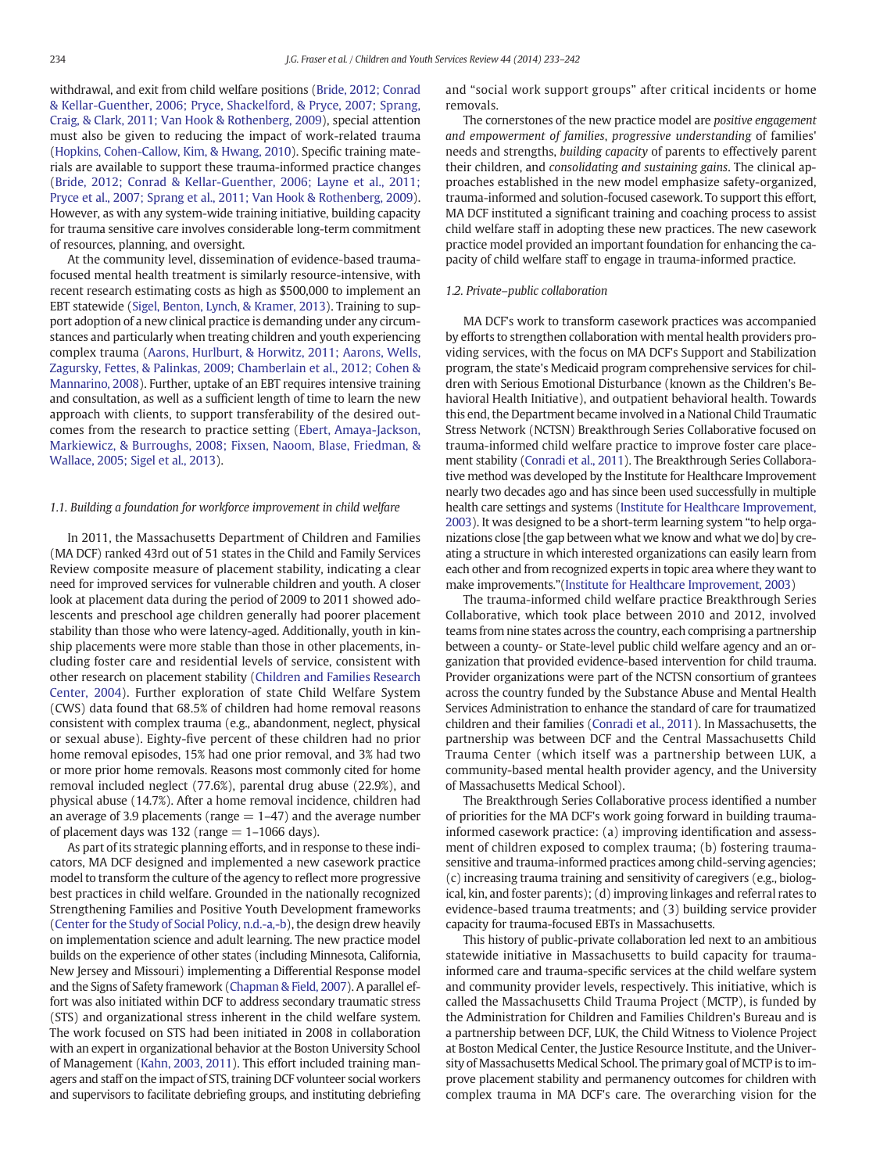withdrawal, and exit from child welfare positions [\(Bride, 2012; Conrad](#page-8-0) [& Kellar-Guenther, 2006; Pryce, Shackelford, & Pryce, 2007; Sprang,](#page-8-0) [Craig, & Clark, 2011; Van Hook & Rothenberg, 2009\)](#page-8-0), special attention must also be given to reducing the impact of work-related trauma [\(Hopkins, Cohen-Callow, Kim, & Hwang, 2010](#page-8-0)). Specific training materials are available to support these trauma-informed practice changes [\(Bride, 2012; Conrad & Kellar-Guenther, 2006; Layne et al., 2011;](#page-8-0) [Pryce et al., 2007; Sprang et al., 2011; Van Hook & Rothenberg, 2009](#page-8-0)). However, as with any system-wide training initiative, building capacity for trauma sensitive care involves considerable long-term commitment of resources, planning, and oversight.

At the community level, dissemination of evidence-based traumafocused mental health treatment is similarly resource-intensive, with recent research estimating costs as high as \$500,000 to implement an EBT statewide ([Sigel, Benton, Lynch, & Kramer, 2013](#page-9-0)). Training to support adoption of a new clinical practice is demanding under any circumstances and particularly when treating children and youth experiencing complex trauma [\(Aarons, Hurlburt, & Horwitz, 2011; Aarons, Wells,](#page-8-0) [Zagursky, Fettes, & Palinkas, 2009; Chamberlain et al., 2012; Cohen &](#page-8-0) [Mannarino, 2008](#page-8-0)). Further, uptake of an EBT requires intensive training and consultation, as well as a sufficient length of time to learn the new approach with clients, to support transferability of the desired outcomes from the research to practice setting [\(Ebert, Amaya-Jackson,](#page-8-0) [Markiewicz, & Burroughs, 2008; Fixsen, Naoom, Blase, Friedman, &](#page-8-0) [Wallace, 2005; Sigel et al., 2013](#page-8-0)).

#### 1.1. Building a foundation for workforce improvement in child welfare

In 2011, the Massachusetts Department of Children and Families (MA DCF) ranked 43rd out of 51 states in the Child and Family Services Review composite measure of placement stability, indicating a clear need for improved services for vulnerable children and youth. A closer look at placement data during the period of 2009 to 2011 showed adolescents and preschool age children generally had poorer placement stability than those who were latency-aged. Additionally, youth in kinship placements were more stable than those in other placements, including foster care and residential levels of service, consistent with other research on placement stability ([Children and Families Research](#page-8-0) [Center, 2004](#page-8-0)). Further exploration of state Child Welfare System (CWS) data found that 68.5% of children had home removal reasons consistent with complex trauma (e.g., abandonment, neglect, physical or sexual abuse). Eighty-five percent of these children had no prior home removal episodes, 15% had one prior removal, and 3% had two or more prior home removals. Reasons most commonly cited for home removal included neglect (77.6%), parental drug abuse (22.9%), and physical abuse (14.7%). After a home removal incidence, children had an average of 3.9 placements (range  $= 1-47$ ) and the average number of placement days was 132 (range  $=$  1-1066 days).

As part of its strategic planning efforts, and in response to these indicators, MA DCF designed and implemented a new casework practice model to transform the culture of the agency to reflect more progressive best practices in child welfare. Grounded in the nationally recognized Strengthening Families and Positive Youth Development frameworks [\(Center for the Study of Social Policy, n.d.-a,-b\)](#page-8-0), the design drew heavily on implementation science and adult learning. The new practice model builds on the experience of other states (including Minnesota, California, New Jersey and Missouri) implementing a Differential Response model and the Signs of Safety framework ([Chapman & Field, 2007\)](#page-8-0). A parallel effort was also initiated within DCF to address secondary traumatic stress (STS) and organizational stress inherent in the child welfare system. The work focused on STS had been initiated in 2008 in collaboration with an expert in organizational behavior at the Boston University School of Management [\(Kahn, 2003, 2011](#page-8-0)). This effort included training managers and staff on the impact of STS, training DCF volunteer social workers and supervisors to facilitate debriefing groups, and instituting debriefing and "social work support groups" after critical incidents or home removals.

The cornerstones of the new practice model are positive engagement and empowerment of families, progressive understanding of families' needs and strengths, building capacity of parents to effectively parent their children, and consolidating and sustaining gains. The clinical approaches established in the new model emphasize safety-organized, trauma-informed and solution-focused casework. To support this effort, MA DCF instituted a significant training and coaching process to assist child welfare staff in adopting these new practices. The new casework practice model provided an important foundation for enhancing the capacity of child welfare staff to engage in trauma-informed practice.

# 1.2. Private–public collaboration

MA DCF's work to transform casework practices was accompanied by efforts to strengthen collaboration with mental health providers providing services, with the focus on MA DCF's Support and Stabilization program, the state's Medicaid program comprehensive services for children with Serious Emotional Disturbance (known as the Children's Behavioral Health Initiative), and outpatient behavioral health. Towards this end, the Department became involved in a National Child Traumatic Stress Network (NCTSN) Breakthrough Series Collaborative focused on trauma-informed child welfare practice to improve foster care placement stability [\(Conradi et al., 2011](#page-8-0)). The Breakthrough Series Collaborative method was developed by the Institute for Healthcare Improvement nearly two decades ago and has since been used successfully in multiple health care settings and systems [\(Institute for Healthcare Improvement,](#page-8-0) [2003](#page-8-0)). It was designed to be a short-term learning system "to help organizations close [the gap between what we know and what we do] by creating a structure in which interested organizations can easily learn from each other and from recognized experts in topic area where they want to make improvements."([Institute for Healthcare Improvement, 2003](#page-8-0))

The trauma-informed child welfare practice Breakthrough Series Collaborative, which took place between 2010 and 2012, involved teams from nine states across the country, each comprising a partnership between a county- or State-level public child welfare agency and an organization that provided evidence-based intervention for child trauma. Provider organizations were part of the NCTSN consortium of grantees across the country funded by the Substance Abuse and Mental Health Services Administration to enhance the standard of care for traumatized children and their families [\(Conradi et al., 2011](#page-8-0)). In Massachusetts, the partnership was between DCF and the Central Massachusetts Child Trauma Center (which itself was a partnership between LUK, a community-based mental health provider agency, and the University of Massachusetts Medical School).

The Breakthrough Series Collaborative process identified a number of priorities for the MA DCF's work going forward in building traumainformed casework practice: (a) improving identification and assessment of children exposed to complex trauma; (b) fostering traumasensitive and trauma-informed practices among child-serving agencies; (c) increasing trauma training and sensitivity of caregivers (e.g., biological, kin, and foster parents); (d) improving linkages and referral rates to evidence-based trauma treatments; and (3) building service provider capacity for trauma-focused EBTs in Massachusetts.

This history of public-private collaboration led next to an ambitious statewide initiative in Massachusetts to build capacity for traumainformed care and trauma-specific services at the child welfare system and community provider levels, respectively. This initiative, which is called the Massachusetts Child Trauma Project (MCTP), is funded by the Administration for Children and Families Children's Bureau and is a partnership between DCF, LUK, the Child Witness to Violence Project at Boston Medical Center, the Justice Resource Institute, and the University of Massachusetts Medical School. The primary goal of MCTP is to improve placement stability and permanency outcomes for children with complex trauma in MA DCF's care. The overarching vision for the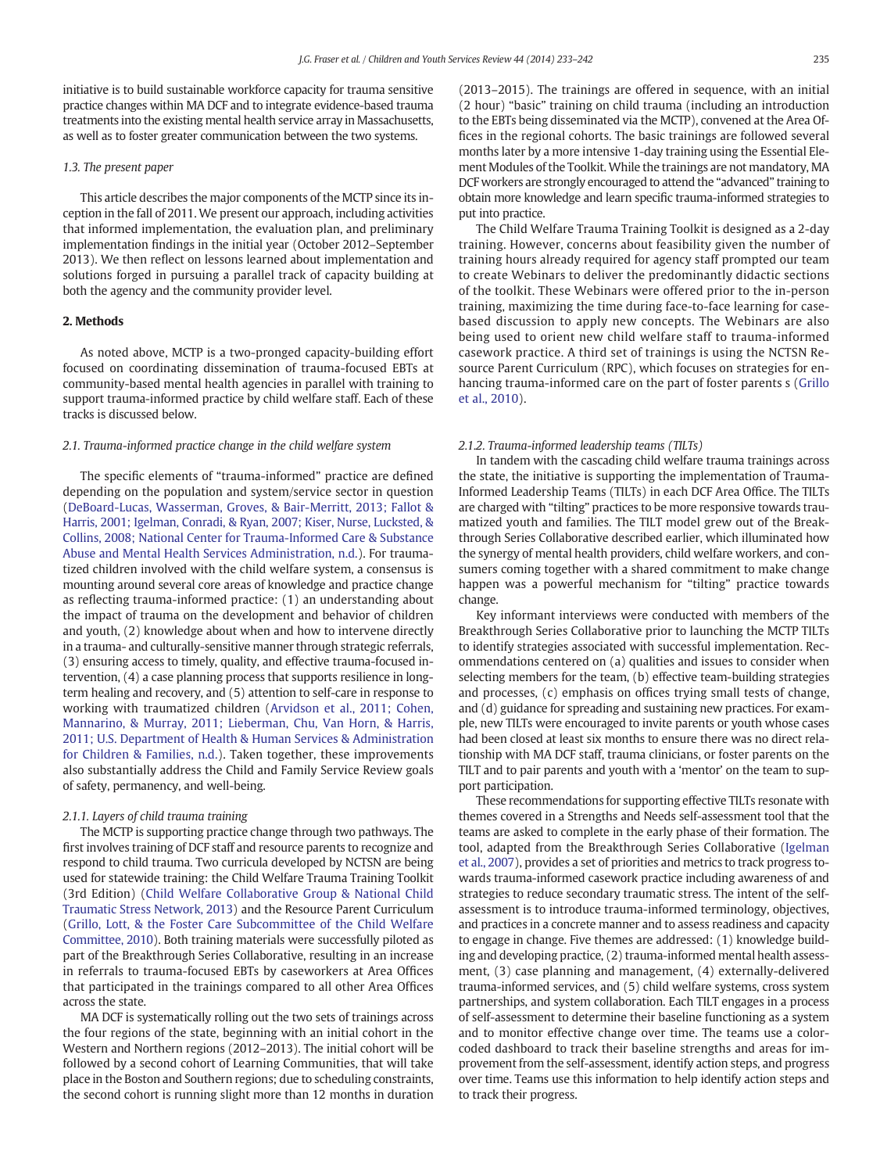initiative is to build sustainable workforce capacity for trauma sensitive practice changes within MA DCF and to integrate evidence-based trauma treatments into the existing mental health service array in Massachusetts, as well as to foster greater communication between the two systems.

### 1.3. The present paper

This article describes the major components of the MCTP since its inception in the fall of 2011. We present our approach, including activities that informed implementation, the evaluation plan, and preliminary implementation findings in the initial year (October 2012–September 2013). We then reflect on lessons learned about implementation and solutions forged in pursuing a parallel track of capacity building at both the agency and the community provider level.

#### 2. Methods

As noted above, MCTP is a two-pronged capacity-building effort focused on coordinating dissemination of trauma-focused EBTs at community-based mental health agencies in parallel with training to support trauma-informed practice by child welfare staff. Each of these tracks is discussed below.

#### 2.1. Trauma-informed practice change in the child welfare system

The specific elements of "trauma-informed" practice are defined depending on the population and system/service sector in question [\(DeBoard-Lucas, Wasserman, Groves, & Bair-Merritt, 2013; Fallot &](#page-8-0) [Harris, 2001; Igelman, Conradi, & Ryan, 2007; Kiser, Nurse, Lucksted, &](#page-8-0) [Collins, 2008; National Center for Trauma-Informed Care & Substance](#page-8-0) [Abuse and Mental Health Services Administration, n.d.](#page-8-0)). For traumatized children involved with the child welfare system, a consensus is mounting around several core areas of knowledge and practice change as reflecting trauma-informed practice: (1) an understanding about the impact of trauma on the development and behavior of children and youth, (2) knowledge about when and how to intervene directly in a trauma- and culturally-sensitive manner through strategic referrals, (3) ensuring access to timely, quality, and effective trauma-focused intervention, (4) a case planning process that supports resilience in longterm healing and recovery, and (5) attention to self-care in response to working with traumatized children [\(Arvidson et al., 2011; Cohen,](#page-8-0) [Mannarino, & Murray, 2011; Lieberman, Chu, Van Horn, & Harris,](#page-8-0) [2011; U.S. Department of Health & Human Services & Administration](#page-8-0) [for Children & Families, n.d.](#page-8-0)). Taken together, these improvements also substantially address the Child and Family Service Review goals of safety, permanency, and well-being.

#### 2.1.1. Layers of child trauma training

The MCTP is supporting practice change through two pathways. The first involves training of DCF staff and resource parents to recognize and respond to child trauma. Two curricula developed by NCTSN are being used for statewide training: the Child Welfare Trauma Training Toolkit (3rd Edition) ([Child Welfare Collaborative Group & National Child](#page-8-0) [Traumatic Stress Network, 2013\)](#page-8-0) and the Resource Parent Curriculum [\(Grillo, Lott, & the Foster Care Subcommittee of the Child Welfare](#page-8-0) [Committee, 2010\)](#page-8-0). Both training materials were successfully piloted as part of the Breakthrough Series Collaborative, resulting in an increase in referrals to trauma-focused EBTs by caseworkers at Area Offices that participated in the trainings compared to all other Area Offices across the state.

MA DCF is systematically rolling out the two sets of trainings across the four regions of the state, beginning with an initial cohort in the Western and Northern regions (2012–2013). The initial cohort will be followed by a second cohort of Learning Communities, that will take place in the Boston and Southern regions; due to scheduling constraints, the second cohort is running slight more than 12 months in duration (2013–2015). The trainings are offered in sequence, with an initial (2 hour) "basic" training on child trauma (including an introduction to the EBTs being disseminated via the MCTP), convened at the Area Offices in the regional cohorts. The basic trainings are followed several months later by a more intensive 1-day training using the Essential Element Modules of the Toolkit. While the trainings are not mandatory, MA DCF workers are strongly encouraged to attend the "advanced" training to obtain more knowledge and learn specific trauma-informed strategies to put into practice.

The Child Welfare Trauma Training Toolkit is designed as a 2-day training. However, concerns about feasibility given the number of training hours already required for agency staff prompted our team to create Webinars to deliver the predominantly didactic sections of the toolkit. These Webinars were offered prior to the in-person training, maximizing the time during face-to-face learning for casebased discussion to apply new concepts. The Webinars are also being used to orient new child welfare staff to trauma-informed casework practice. A third set of trainings is using the NCTSN Resource Parent Curriculum (RPC), which focuses on strategies for enhancing trauma-informed care on the part of foster parents s ([Grillo](#page-8-0) [et al., 2010\)](#page-8-0).

#### 2.1.2. Trauma-informed leadership teams (TILTs)

In tandem with the cascading child welfare trauma trainings across the state, the initiative is supporting the implementation of Trauma-Informed Leadership Teams (TILTs) in each DCF Area Office. The TILTs are charged with "tilting" practices to be more responsive towards traumatized youth and families. The TILT model grew out of the Breakthrough Series Collaborative described earlier, which illuminated how the synergy of mental health providers, child welfare workers, and consumers coming together with a shared commitment to make change happen was a powerful mechanism for "tilting" practice towards change.

Key informant interviews were conducted with members of the Breakthrough Series Collaborative prior to launching the MCTP TILTs to identify strategies associated with successful implementation. Recommendations centered on (a) qualities and issues to consider when selecting members for the team, (b) effective team-building strategies and processes, (c) emphasis on offices trying small tests of change, and (d) guidance for spreading and sustaining new practices. For example, new TILTs were encouraged to invite parents or youth whose cases had been closed at least six months to ensure there was no direct relationship with MA DCF staff, trauma clinicians, or foster parents on the TILT and to pair parents and youth with a 'mentor' on the team to support participation.

These recommendations for supporting effective TILTs resonate with themes covered in a Strengths and Needs self-assessment tool that the teams are asked to complete in the early phase of their formation. The tool, adapted from the Breakthrough Series Collaborative ([Igelman](#page-8-0) [et al., 2007](#page-8-0)), provides a set of priorities and metrics to track progress towards trauma-informed casework practice including awareness of and strategies to reduce secondary traumatic stress. The intent of the selfassessment is to introduce trauma-informed terminology, objectives, and practices in a concrete manner and to assess readiness and capacity to engage in change. Five themes are addressed: (1) knowledge building and developing practice, (2) trauma-informed mental health assessment, (3) case planning and management, (4) externally-delivered trauma-informed services, and (5) child welfare systems, cross system partnerships, and system collaboration. Each TILT engages in a process of self-assessment to determine their baseline functioning as a system and to monitor effective change over time. The teams use a colorcoded dashboard to track their baseline strengths and areas for improvement from the self-assessment, identify action steps, and progress over time. Teams use this information to help identify action steps and to track their progress.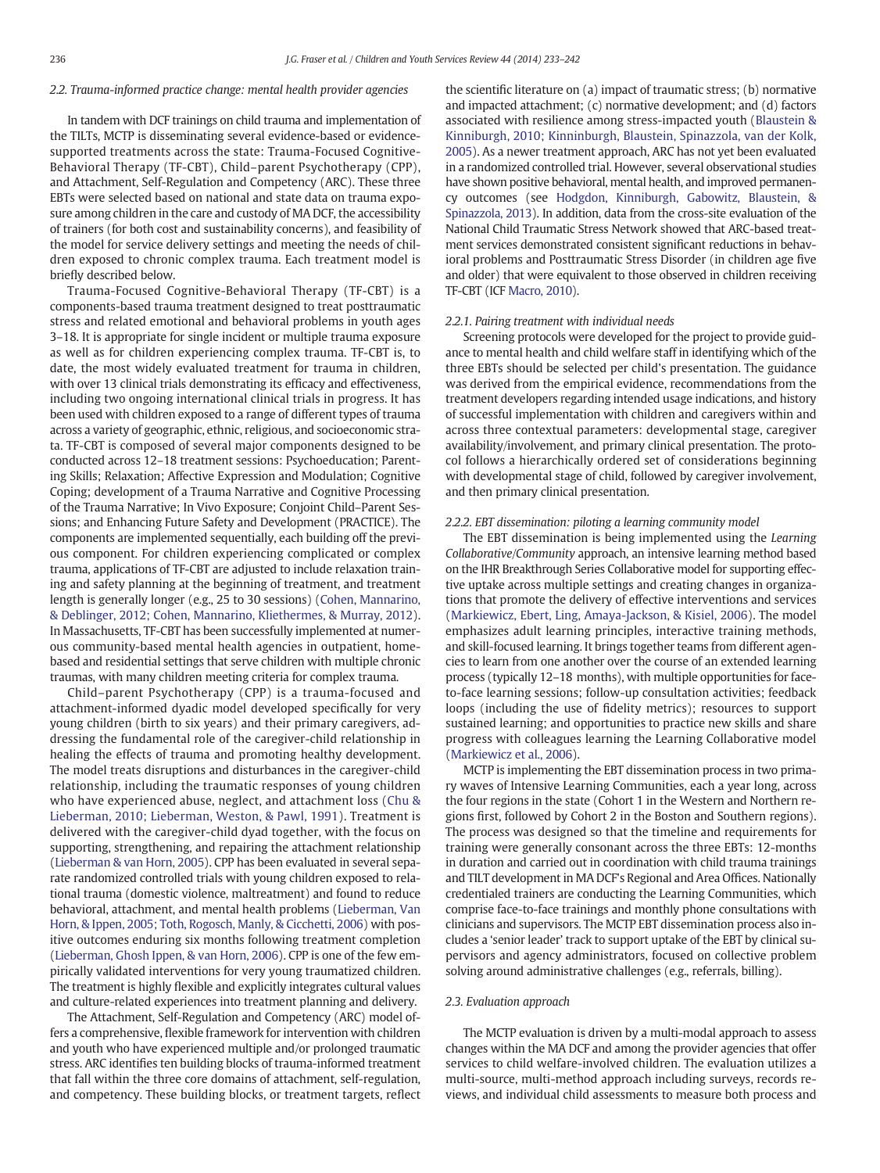#### 2.2. Trauma-informed practice change: mental health provider agencies

In tandem with DCF trainings on child trauma and implementation of the TILTs, MCTP is disseminating several evidence-based or evidencesupported treatments across the state: Trauma-Focused Cognitive-Behavioral Therapy (TF-CBT), Child–parent Psychotherapy (CPP), and Attachment, Self-Regulation and Competency (ARC). These three EBTs were selected based on national and state data on trauma exposure among children in the care and custody of MA DCF, the accessibility of trainers (for both cost and sustainability concerns), and feasibility of the model for service delivery settings and meeting the needs of children exposed to chronic complex trauma. Each treatment model is briefly described below.

Trauma-Focused Cognitive-Behavioral Therapy (TF-CBT) is a components-based trauma treatment designed to treat posttraumatic stress and related emotional and behavioral problems in youth ages 3–18. It is appropriate for single incident or multiple trauma exposure as well as for children experiencing complex trauma. TF-CBT is, to date, the most widely evaluated treatment for trauma in children, with over 13 clinical trials demonstrating its efficacy and effectiveness, including two ongoing international clinical trials in progress. It has been used with children exposed to a range of different types of trauma across a variety of geographic, ethnic, religious, and socioeconomic strata. TF-CBT is composed of several major components designed to be conducted across 12–18 treatment sessions: Psychoeducation; Parenting Skills; Relaxation; Affective Expression and Modulation; Cognitive Coping; development of a Trauma Narrative and Cognitive Processing of the Trauma Narrative; In Vivo Exposure; Conjoint Child–Parent Sessions; and Enhancing Future Safety and Development (PRACTICE). The components are implemented sequentially, each building off the previous component. For children experiencing complicated or complex trauma, applications of TF-CBT are adjusted to include relaxation training and safety planning at the beginning of treatment, and treatment length is generally longer (e.g., 25 to 30 sessions) ([Cohen, Mannarino,](#page-8-0) [& Deblinger, 2012; Cohen, Mannarino, Kliethermes, & Murray, 2012](#page-8-0)). In Massachusetts, TF-CBT has been successfully implemented at numerous community-based mental health agencies in outpatient, homebased and residential settings that serve children with multiple chronic traumas, with many children meeting criteria for complex trauma.

Child–parent Psychotherapy (CPP) is a trauma-focused and attachment-informed dyadic model developed specifically for very young children (birth to six years) and their primary caregivers, addressing the fundamental role of the caregiver-child relationship in healing the effects of trauma and promoting healthy development. The model treats disruptions and disturbances in the caregiver-child relationship, including the traumatic responses of young children who have experienced abuse, neglect, and attachment loss [\(Chu &](#page-8-0) [Lieberman, 2010; Lieberman, Weston, & Pawl, 1991](#page-8-0)). Treatment is delivered with the caregiver-child dyad together, with the focus on supporting, strengthening, and repairing the attachment relationship [\(Lieberman & van Horn, 2005](#page-9-0)). CPP has been evaluated in several separate randomized controlled trials with young children exposed to relational trauma (domestic violence, maltreatment) and found to reduce behavioral, attachment, and mental health problems ([Lieberman, Van](#page-9-0) [Horn, & Ippen, 2005; Toth, Rogosch, Manly, & Cicchetti, 2006\)](#page-9-0) with positive outcomes enduring six months following treatment completion [\(Lieberman, Ghosh Ippen, & van Horn, 2006](#page-9-0)). CPP is one of the few empirically validated interventions for very young traumatized children. The treatment is highly flexible and explicitly integrates cultural values and culture-related experiences into treatment planning and delivery.

The Attachment, Self-Regulation and Competency (ARC) model offers a comprehensive, flexible framework for intervention with children and youth who have experienced multiple and/or prolonged traumatic stress. ARC identifies ten building blocks of trauma-informed treatment that fall within the three core domains of attachment, self-regulation, and competency. These building blocks, or treatment targets, reflect the scientific literature on (a) impact of traumatic stress; (b) normative and impacted attachment; (c) normative development; and (d) factors associated with resilience among stress-impacted youth ([Blaustein &](#page-8-0) [Kinniburgh, 2010; Kinninburgh, Blaustein, Spinazzola, van der Kolk,](#page-8-0) [2005\)](#page-8-0). As a newer treatment approach, ARC has not yet been evaluated in a randomized controlled trial. However, several observational studies have shown positive behavioral, mental health, and improved permanency outcomes (see [Hodgdon, Kinniburgh, Gabowitz, Blaustein, &](#page-8-0) [Spinazzola, 2013](#page-8-0)). In addition, data from the cross-site evaluation of the National Child Traumatic Stress Network showed that ARC-based treatment services demonstrated consistent significant reductions in behavioral problems and Posttraumatic Stress Disorder (in children age five and older) that were equivalent to those observed in children receiving TF-CBT (ICF [Macro, 2010](#page-9-0)).

#### 2.2.1. Pairing treatment with individual needs

Screening protocols were developed for the project to provide guidance to mental health and child welfare staff in identifying which of the three EBTs should be selected per child's presentation. The guidance was derived from the empirical evidence, recommendations from the treatment developers regarding intended usage indications, and history of successful implementation with children and caregivers within and across three contextual parameters: developmental stage, caregiver availability/involvement, and primary clinical presentation. The protocol follows a hierarchically ordered set of considerations beginning with developmental stage of child, followed by caregiver involvement, and then primary clinical presentation.

#### 2.2.2. EBT dissemination: piloting a learning community model

The EBT dissemination is being implemented using the Learning Collaborative/Community approach, an intensive learning method based on the IHR Breakthrough Series Collaborative model for supporting effective uptake across multiple settings and creating changes in organizations that promote the delivery of effective interventions and services [\(Markiewicz, Ebert, Ling, Amaya-Jackson, & Kisiel, 2006](#page-9-0)). The model emphasizes adult learning principles, interactive training methods, and skill-focused learning. It brings together teams from different agencies to learn from one another over the course of an extended learning process (typically 12–18 months), with multiple opportunities for faceto-face learning sessions; follow-up consultation activities; feedback loops (including the use of fidelity metrics); resources to support sustained learning; and opportunities to practice new skills and share progress with colleagues learning the Learning Collaborative model [\(Markiewicz et al., 2006](#page-9-0)).

MCTP is implementing the EBT dissemination process in two primary waves of Intensive Learning Communities, each a year long, across the four regions in the state (Cohort 1 in the Western and Northern regions first, followed by Cohort 2 in the Boston and Southern regions). The process was designed so that the timeline and requirements for training were generally consonant across the three EBTs: 12-months in duration and carried out in coordination with child trauma trainings and TILT development in MA DCF's Regional and Area Offices. Nationally credentialed trainers are conducting the Learning Communities, which comprise face-to-face trainings and monthly phone consultations with clinicians and supervisors. The MCTP EBT dissemination process also includes a 'senior leader' track to support uptake of the EBT by clinical supervisors and agency administrators, focused on collective problem solving around administrative challenges (e.g., referrals, billing).

#### 2.3. Evaluation approach

The MCTP evaluation is driven by a multi-modal approach to assess changes within the MA DCF and among the provider agencies that offer services to child welfare-involved children. The evaluation utilizes a multi-source, multi-method approach including surveys, records reviews, and individual child assessments to measure both process and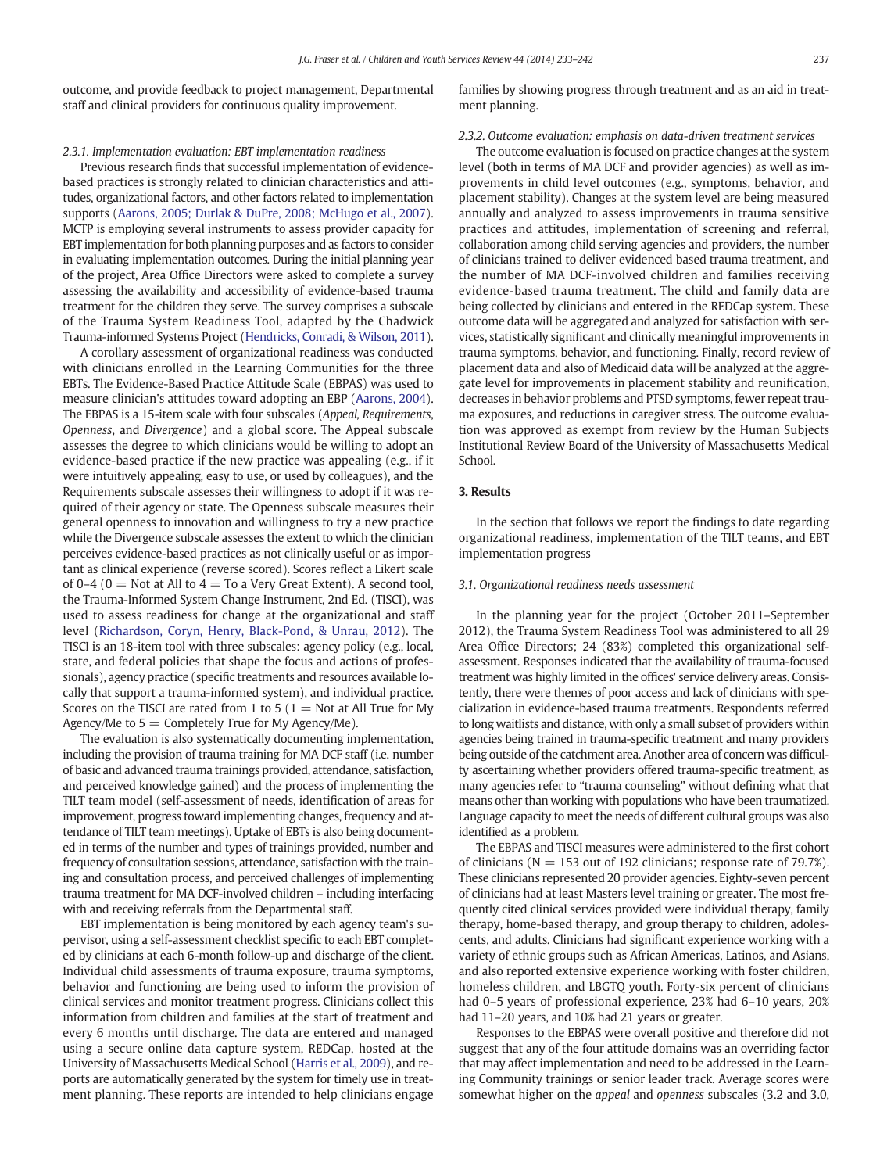outcome, and provide feedback to project management, Departmental staff and clinical providers for continuous quality improvement.

families by showing progress through treatment and as an aid in treatment planning.

#### 2.3.1. Implementation evaluation: EBT implementation readiness

Previous research finds that successful implementation of evidencebased practices is strongly related to clinician characteristics and attitudes, organizational factors, and other factors related to implementation supports ([Aarons, 2005; Durlak & DuPre, 2008; McHugo et al., 2007](#page-8-0)). MCTP is employing several instruments to assess provider capacity for EBT implementation for both planning purposes and as factors to consider in evaluating implementation outcomes. During the initial planning year of the project, Area Office Directors were asked to complete a survey assessing the availability and accessibility of evidence-based trauma treatment for the children they serve. The survey comprises a subscale of the Trauma System Readiness Tool, adapted by the Chadwick Trauma-informed Systems Project [\(Hendricks, Conradi, & Wilson, 2011](#page-8-0)).

A corollary assessment of organizational readiness was conducted with clinicians enrolled in the Learning Communities for the three EBTs. The Evidence-Based Practice Attitude Scale (EBPAS) was used to measure clinician's attitudes toward adopting an EBP ([Aarons, 2004](#page-8-0)). The EBPAS is a 15-item scale with four subscales (Appeal, Requirements, Openness, and Divergence) and a global score. The Appeal subscale assesses the degree to which clinicians would be willing to adopt an evidence-based practice if the new practice was appealing (e.g., if it were intuitively appealing, easy to use, or used by colleagues), and the Requirements subscale assesses their willingness to adopt if it was required of their agency or state. The Openness subscale measures their general openness to innovation and willingness to try a new practice while the Divergence subscale assesses the extent to which the clinician perceives evidence-based practices as not clinically useful or as important as clinical experience (reverse scored). Scores reflect a Likert scale of 0–4 (0 = Not at All to  $4 =$  To a Very Great Extent). A second tool, the Trauma-Informed System Change Instrument, 2nd Ed. (TISCI), was used to assess readiness for change at the organizational and staff level [\(Richardson, Coryn, Henry, Black-Pond, & Unrau, 2012](#page-9-0)). The TISCI is an 18-item tool with three subscales: agency policy (e.g., local, state, and federal policies that shape the focus and actions of professionals), agency practice (specific treatments and resources available locally that support a trauma-informed system), and individual practice. Scores on the TISCI are rated from 1 to 5 ( $1 =$  Not at All True for My Agency/Me to  $5 =$  Completely True for My Agency/Me).

The evaluation is also systematically documenting implementation, including the provision of trauma training for MA DCF staff (i.e. number of basic and advanced trauma trainings provided, attendance, satisfaction, and perceived knowledge gained) and the process of implementing the TILT team model (self-assessment of needs, identification of areas for improvement, progress toward implementing changes, frequency and attendance of TILT team meetings). Uptake of EBTs is also being documented in terms of the number and types of trainings provided, number and frequency of consultation sessions, attendance, satisfaction with the training and consultation process, and perceived challenges of implementing trauma treatment for MA DCF-involved children – including interfacing with and receiving referrals from the Departmental staff.

EBT implementation is being monitored by each agency team's supervisor, using a self-assessment checklist specific to each EBT completed by clinicians at each 6-month follow-up and discharge of the client. Individual child assessments of trauma exposure, trauma symptoms, behavior and functioning are being used to inform the provision of clinical services and monitor treatment progress. Clinicians collect this information from children and families at the start of treatment and every 6 months until discharge. The data are entered and managed using a secure online data capture system, REDCap, hosted at the University of Massachusetts Medical School [\(Harris et al., 2009](#page-8-0)), and reports are automatically generated by the system for timely use in treatment planning. These reports are intended to help clinicians engage

# 2.3.2. Outcome evaluation: emphasis on data-driven treatment services

The outcome evaluation is focused on practice changes at the system level (both in terms of MA DCF and provider agencies) as well as improvements in child level outcomes (e.g., symptoms, behavior, and placement stability). Changes at the system level are being measured annually and analyzed to assess improvements in trauma sensitive practices and attitudes, implementation of screening and referral, collaboration among child serving agencies and providers, the number of clinicians trained to deliver evidenced based trauma treatment, and the number of MA DCF-involved children and families receiving evidence-based trauma treatment. The child and family data are being collected by clinicians and entered in the REDCap system. These outcome data will be aggregated and analyzed for satisfaction with services, statistically significant and clinically meaningful improvements in trauma symptoms, behavior, and functioning. Finally, record review of placement data and also of Medicaid data will be analyzed at the aggregate level for improvements in placement stability and reunification, decreases in behavior problems and PTSD symptoms, fewer repeat trauma exposures, and reductions in caregiver stress. The outcome evaluation was approved as exempt from review by the Human Subjects Institutional Review Board of the University of Massachusetts Medical School.

## 3. Results

In the section that follows we report the findings to date regarding organizational readiness, implementation of the TILT teams, and EBT implementation progress

#### 3.1. Organizational readiness needs assessment

In the planning year for the project (October 2011–September 2012), the Trauma System Readiness Tool was administered to all 29 Area Office Directors; 24 (83%) completed this organizational selfassessment. Responses indicated that the availability of trauma-focused treatment was highly limited in the offices' service delivery areas. Consistently, there were themes of poor access and lack of clinicians with specialization in evidence-based trauma treatments. Respondents referred to long waitlists and distance, with only a small subset of providers within agencies being trained in trauma-specific treatment and many providers being outside of the catchment area. Another area of concern was difficulty ascertaining whether providers offered trauma-specific treatment, as many agencies refer to "trauma counseling" without defining what that means other than working with populations who have been traumatized. Language capacity to meet the needs of different cultural groups was also identified as a problem.

The EBPAS and TISCI measures were administered to the first cohort of clinicians ( $N = 153$  out of 192 clinicians; response rate of 79.7%). These clinicians represented 20 provider agencies. Eighty-seven percent of clinicians had at least Masters level training or greater. The most frequently cited clinical services provided were individual therapy, family therapy, home-based therapy, and group therapy to children, adolescents, and adults. Clinicians had significant experience working with a variety of ethnic groups such as African Americas, Latinos, and Asians, and also reported extensive experience working with foster children, homeless children, and LBGTQ youth. Forty-six percent of clinicians had 0–5 years of professional experience, 23% had 6–10 years, 20% had 11–20 years, and 10% had 21 years or greater.

Responses to the EBPAS were overall positive and therefore did not suggest that any of the four attitude domains was an overriding factor that may affect implementation and need to be addressed in the Learning Community trainings or senior leader track. Average scores were somewhat higher on the appeal and openness subscales (3.2 and 3.0,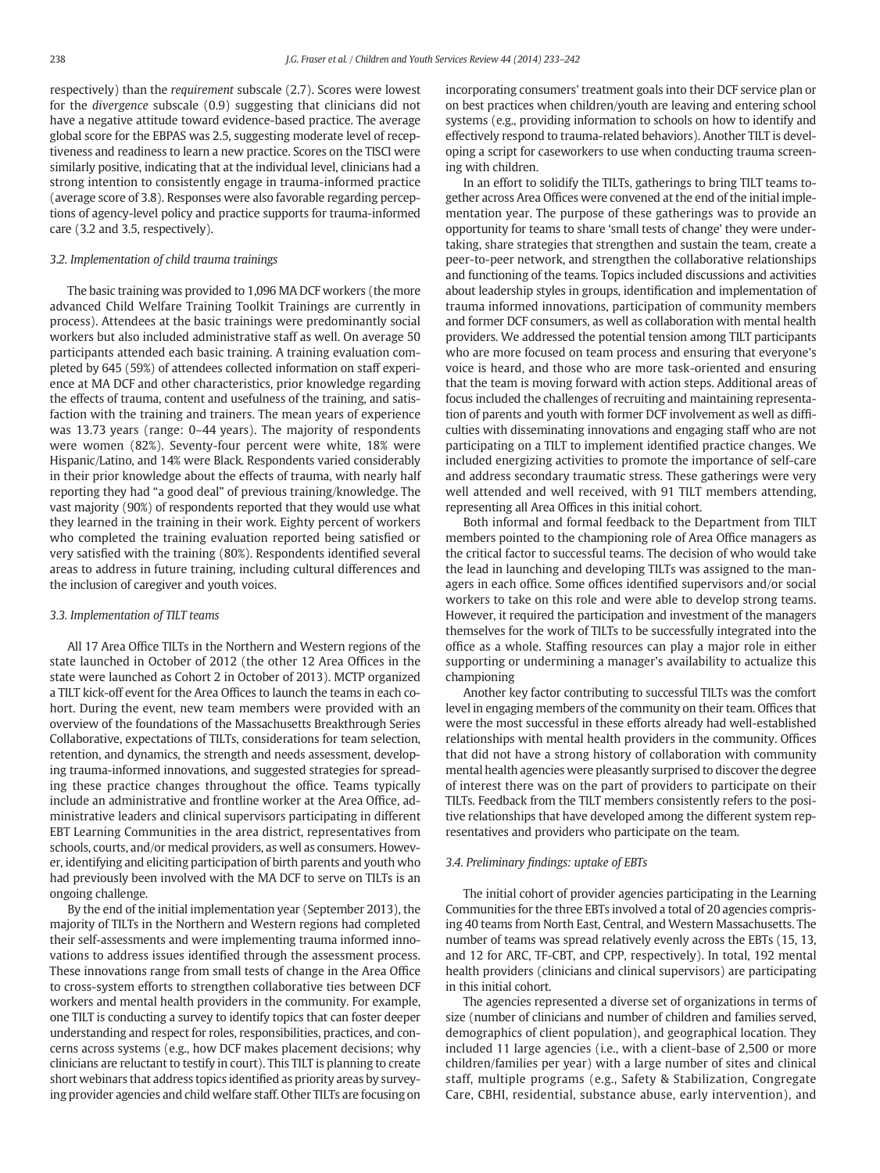respectively) than the requirement subscale (2.7). Scores were lowest for the divergence subscale (0.9) suggesting that clinicians did not have a negative attitude toward evidence-based practice. The average global score for the EBPAS was 2.5, suggesting moderate level of receptiveness and readiness to learn a new practice. Scores on the TISCI were similarly positive, indicating that at the individual level, clinicians had a strong intention to consistently engage in trauma-informed practice (average score of 3.8). Responses were also favorable regarding perceptions of agency-level policy and practice supports for trauma-informed care (3.2 and 3.5, respectively).

#### 3.2. Implementation of child trauma trainings

The basic training was provided to 1,096 MA DCF workers (the more advanced Child Welfare Training Toolkit Trainings are currently in process). Attendees at the basic trainings were predominantly social workers but also included administrative staff as well. On average 50 participants attended each basic training. A training evaluation completed by 645 (59%) of attendees collected information on staff experience at MA DCF and other characteristics, prior knowledge regarding the effects of trauma, content and usefulness of the training, and satisfaction with the training and trainers. The mean years of experience was 13.73 years (range: 0–44 years). The majority of respondents were women (82%). Seventy-four percent were white, 18% were Hispanic/Latino, and 14% were Black. Respondents varied considerably in their prior knowledge about the effects of trauma, with nearly half reporting they had "a good deal" of previous training/knowledge. The vast majority (90%) of respondents reported that they would use what they learned in the training in their work. Eighty percent of workers who completed the training evaluation reported being satisfied or very satisfied with the training (80%). Respondents identified several areas to address in future training, including cultural differences and the inclusion of caregiver and youth voices.

#### 3.3. Implementation of TILT teams

All 17 Area Office TILTs in the Northern and Western regions of the state launched in October of 2012 (the other 12 Area Offices in the state were launched as Cohort 2 in October of 2013). MCTP organized a TILT kick-off event for the Area Offices to launch the teams in each cohort. During the event, new team members were provided with an overview of the foundations of the Massachusetts Breakthrough Series Collaborative, expectations of TILTs, considerations for team selection, retention, and dynamics, the strength and needs assessment, developing trauma-informed innovations, and suggested strategies for spreading these practice changes throughout the office. Teams typically include an administrative and frontline worker at the Area Office, administrative leaders and clinical supervisors participating in different EBT Learning Communities in the area district, representatives from schools, courts, and/or medical providers, as well as consumers. However, identifying and eliciting participation of birth parents and youth who had previously been involved with the MA DCF to serve on TILTs is an ongoing challenge.

By the end of the initial implementation year (September 2013), the majority of TILTs in the Northern and Western regions had completed their self-assessments and were implementing trauma informed innovations to address issues identified through the assessment process. These innovations range from small tests of change in the Area Office to cross-system efforts to strengthen collaborative ties between DCF workers and mental health providers in the community. For example, one TILT is conducting a survey to identify topics that can foster deeper understanding and respect for roles, responsibilities, practices, and concerns across systems (e.g., how DCF makes placement decisions; why clinicians are reluctant to testify in court). This TILT is planning to create short webinars that address topics identified as priority areas by surveying provider agencies and child welfare staff. Other TILTs are focusing on incorporating consumers' treatment goals into their DCF service plan or on best practices when children/youth are leaving and entering school systems (e.g., providing information to schools on how to identify and effectively respond to trauma-related behaviors). Another TILT is developing a script for caseworkers to use when conducting trauma screening with children.

In an effort to solidify the TILTs, gatherings to bring TILT teams together across Area Offices were convened at the end of the initial implementation year. The purpose of these gatherings was to provide an opportunity for teams to share 'small tests of change' they were undertaking, share strategies that strengthen and sustain the team, create a peer-to-peer network, and strengthen the collaborative relationships and functioning of the teams. Topics included discussions and activities about leadership styles in groups, identification and implementation of trauma informed innovations, participation of community members and former DCF consumers, as well as collaboration with mental health providers. We addressed the potential tension among TILT participants who are more focused on team process and ensuring that everyone's voice is heard, and those who are more task-oriented and ensuring that the team is moving forward with action steps. Additional areas of focus included the challenges of recruiting and maintaining representation of parents and youth with former DCF involvement as well as difficulties with disseminating innovations and engaging staff who are not participating on a TILT to implement identified practice changes. We included energizing activities to promote the importance of self-care and address secondary traumatic stress. These gatherings were very well attended and well received, with 91 TILT members attending, representing all Area Offices in this initial cohort.

Both informal and formal feedback to the Department from TILT members pointed to the championing role of Area Office managers as the critical factor to successful teams. The decision of who would take the lead in launching and developing TILTs was assigned to the managers in each office. Some offices identified supervisors and/or social workers to take on this role and were able to develop strong teams. However, it required the participation and investment of the managers themselves for the work of TILTs to be successfully integrated into the office as a whole. Staffing resources can play a major role in either supporting or undermining a manager's availability to actualize this championing

Another key factor contributing to successful TILTs was the comfort level in engaging members of the community on their team. Offices that were the most successful in these efforts already had well-established relationships with mental health providers in the community. Offices that did not have a strong history of collaboration with community mental health agencies were pleasantly surprised to discover the degree of interest there was on the part of providers to participate on their TILTs. Feedback from the TILT members consistently refers to the positive relationships that have developed among the different system representatives and providers who participate on the team.

#### 3.4. Preliminary findings: uptake of EBTs

The initial cohort of provider agencies participating in the Learning Communities for the three EBTs involved a total of 20 agencies comprising 40 teams from North East, Central, and Western Massachusetts. The number of teams was spread relatively evenly across the EBTs (15, 13, and 12 for ARC, TF-CBT, and CPP, respectively). In total, 192 mental health providers (clinicians and clinical supervisors) are participating in this initial cohort.

The agencies represented a diverse set of organizations in terms of size (number of clinicians and number of children and families served, demographics of client population), and geographical location. They included 11 large agencies (i.e., with a client-base of 2,500 or more children/families per year) with a large number of sites and clinical staff, multiple programs (e.g., Safety & Stabilization, Congregate Care, CBHI, residential, substance abuse, early intervention), and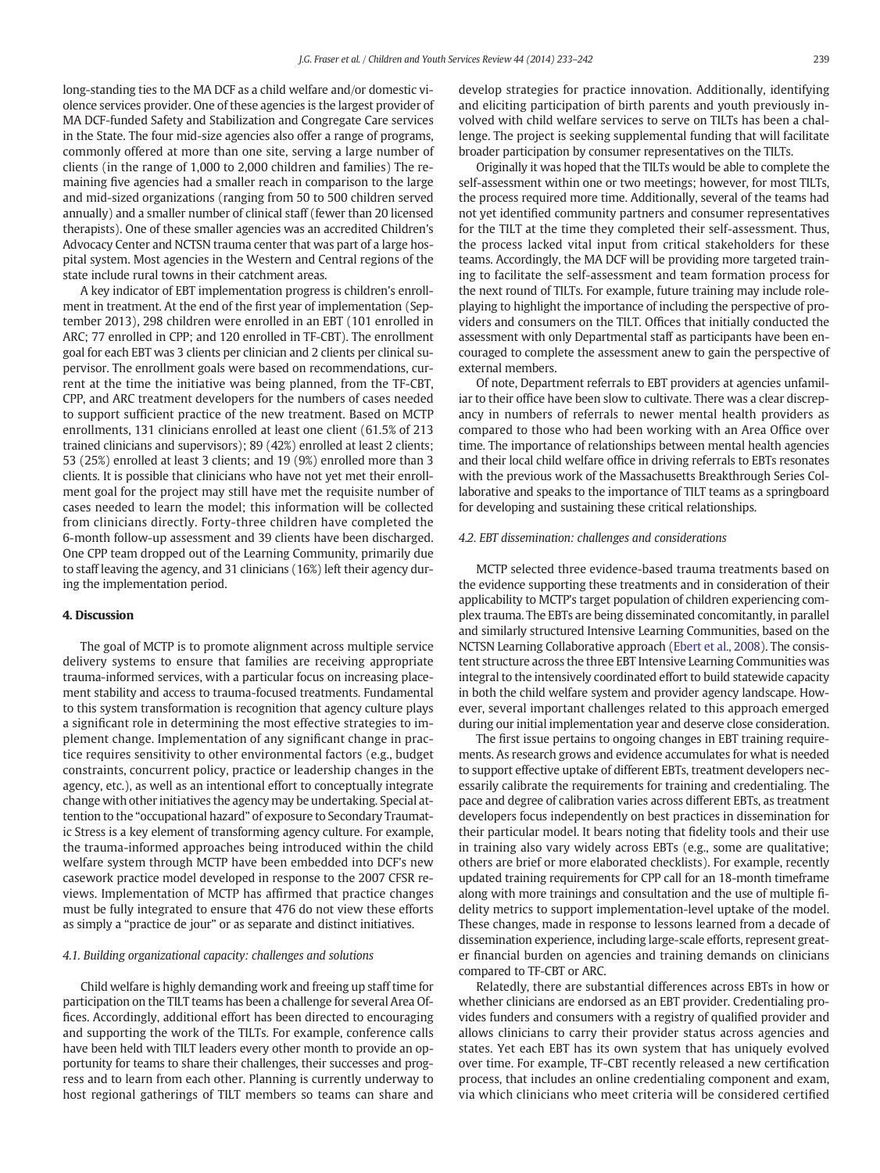long-standing ties to the MA DCF as a child welfare and/or domestic violence services provider. One of these agencies is the largest provider of MA DCF-funded Safety and Stabilization and Congregate Care services in the State. The four mid-size agencies also offer a range of programs, commonly offered at more than one site, serving a large number of clients (in the range of 1,000 to 2,000 children and families) The remaining five agencies had a smaller reach in comparison to the large and mid-sized organizations (ranging from 50 to 500 children served annually) and a smaller number of clinical staff (fewer than 20 licensed therapists). One of these smaller agencies was an accredited Children's Advocacy Center and NCTSN trauma center that was part of a large hospital system. Most agencies in the Western and Central regions of the state include rural towns in their catchment areas.

A key indicator of EBT implementation progress is children's enrollment in treatment. At the end of the first year of implementation (September 2013), 298 children were enrolled in an EBT (101 enrolled in ARC; 77 enrolled in CPP; and 120 enrolled in TF-CBT). The enrollment goal for each EBT was 3 clients per clinician and 2 clients per clinical supervisor. The enrollment goals were based on recommendations, current at the time the initiative was being planned, from the TF-CBT, CPP, and ARC treatment developers for the numbers of cases needed to support sufficient practice of the new treatment. Based on MCTP enrollments, 131 clinicians enrolled at least one client (61.5% of 213 trained clinicians and supervisors); 89 (42%) enrolled at least 2 clients; 53 (25%) enrolled at least 3 clients; and 19 (9%) enrolled more than 3 clients. It is possible that clinicians who have not yet met their enrollment goal for the project may still have met the requisite number of cases needed to learn the model; this information will be collected from clinicians directly. Forty-three children have completed the 6-month follow-up assessment and 39 clients have been discharged. One CPP team dropped out of the Learning Community, primarily due to staff leaving the agency, and 31 clinicians (16%) left their agency during the implementation period.

#### 4. Discussion

The goal of MCTP is to promote alignment across multiple service delivery systems to ensure that families are receiving appropriate trauma-informed services, with a particular focus on increasing placement stability and access to trauma-focused treatments. Fundamental to this system transformation is recognition that agency culture plays a significant role in determining the most effective strategies to implement change. Implementation of any significant change in practice requires sensitivity to other environmental factors (e.g., budget constraints, concurrent policy, practice or leadership changes in the agency, etc.), as well as an intentional effort to conceptually integrate change with other initiatives the agency may be undertaking. Special attention to the "occupational hazard" of exposure to Secondary Traumatic Stress is a key element of transforming agency culture. For example, the trauma-informed approaches being introduced within the child welfare system through MCTP have been embedded into DCF's new casework practice model developed in response to the 2007 CFSR reviews. Implementation of MCTP has affirmed that practice changes must be fully integrated to ensure that 476 do not view these efforts as simply a "practice de jour" or as separate and distinct initiatives.

#### 4.1. Building organizational capacity: challenges and solutions

Child welfare is highly demanding work and freeing up staff time for participation on the TILT teams has been a challenge for several Area Offices. Accordingly, additional effort has been directed to encouraging and supporting the work of the TILTs. For example, conference calls have been held with TILT leaders every other month to provide an opportunity for teams to share their challenges, their successes and progress and to learn from each other. Planning is currently underway to host regional gatherings of TILT members so teams can share and develop strategies for practice innovation. Additionally, identifying and eliciting participation of birth parents and youth previously involved with child welfare services to serve on TILTs has been a challenge. The project is seeking supplemental funding that will facilitate broader participation by consumer representatives on the TILTs.

Originally it was hoped that the TILTs would be able to complete the self-assessment within one or two meetings; however, for most TILTs, the process required more time. Additionally, several of the teams had not yet identified community partners and consumer representatives for the TILT at the time they completed their self-assessment. Thus, the process lacked vital input from critical stakeholders for these teams. Accordingly, the MA DCF will be providing more targeted training to facilitate the self-assessment and team formation process for the next round of TILTs. For example, future training may include roleplaying to highlight the importance of including the perspective of providers and consumers on the TILT. Offices that initially conducted the assessment with only Departmental staff as participants have been encouraged to complete the assessment anew to gain the perspective of external members.

Of note, Department referrals to EBT providers at agencies unfamiliar to their office have been slow to cultivate. There was a clear discrepancy in numbers of referrals to newer mental health providers as compared to those who had been working with an Area Office over time. The importance of relationships between mental health agencies and their local child welfare office in driving referrals to EBTs resonates with the previous work of the Massachusetts Breakthrough Series Collaborative and speaks to the importance of TILT teams as a springboard for developing and sustaining these critical relationships.

#### 4.2. EBT dissemination: challenges and considerations

MCTP selected three evidence-based trauma treatments based on the evidence supporting these treatments and in consideration of their applicability to MCTP's target population of children experiencing complex trauma. The EBTs are being disseminated concomitantly, in parallel and similarly structured Intensive Learning Communities, based on the NCTSN Learning Collaborative approach [\(Ebert et al., 2008\)](#page-8-0). The consistent structure across the three EBT Intensive Learning Communities was integral to the intensively coordinated effort to build statewide capacity in both the child welfare system and provider agency landscape. However, several important challenges related to this approach emerged during our initial implementation year and deserve close consideration.

The first issue pertains to ongoing changes in EBT training requirements. As research grows and evidence accumulates for what is needed to support effective uptake of different EBTs, treatment developers necessarily calibrate the requirements for training and credentialing. The pace and degree of calibration varies across different EBTs, as treatment developers focus independently on best practices in dissemination for their particular model. It bears noting that fidelity tools and their use in training also vary widely across EBTs (e.g., some are qualitative; others are brief or more elaborated checklists). For example, recently updated training requirements for CPP call for an 18-month timeframe along with more trainings and consultation and the use of multiple fidelity metrics to support implementation-level uptake of the model. These changes, made in response to lessons learned from a decade of dissemination experience, including large-scale efforts, represent greater financial burden on agencies and training demands on clinicians compared to TF-CBT or ARC.

Relatedly, there are substantial differences across EBTs in how or whether clinicians are endorsed as an EBT provider. Credentialing provides funders and consumers with a registry of qualified provider and allows clinicians to carry their provider status across agencies and states. Yet each EBT has its own system that has uniquely evolved over time. For example, TF-CBT recently released a new certification process, that includes an online credentialing component and exam, via which clinicians who meet criteria will be considered certified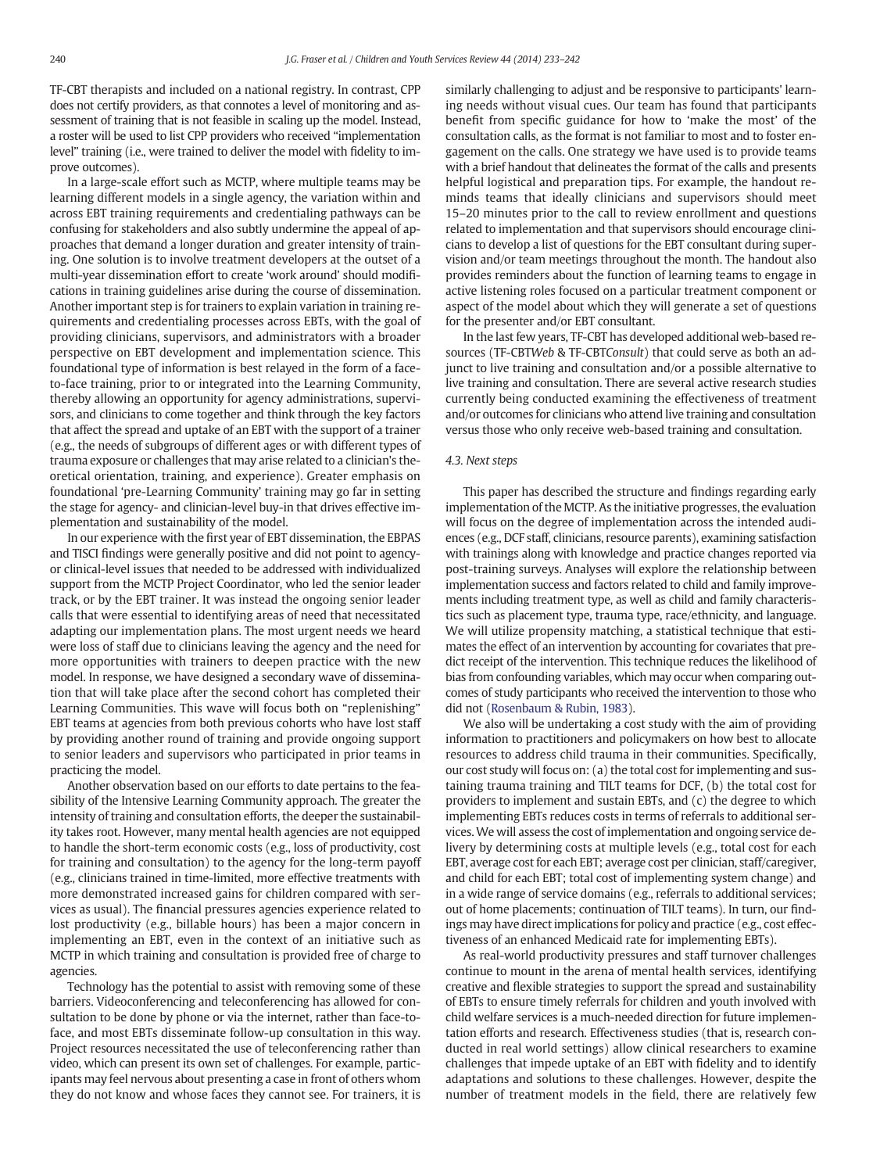TF-CBT therapists and included on a national registry. In contrast, CPP does not certify providers, as that connotes a level of monitoring and assessment of training that is not feasible in scaling up the model. Instead, a roster will be used to list CPP providers who received "implementation level" training (i.e., were trained to deliver the model with fidelity to improve outcomes).

In a large-scale effort such as MCTP, where multiple teams may be learning different models in a single agency, the variation within and across EBT training requirements and credentialing pathways can be confusing for stakeholders and also subtly undermine the appeal of approaches that demand a longer duration and greater intensity of training. One solution is to involve treatment developers at the outset of a multi-year dissemination effort to create 'work around' should modifications in training guidelines arise during the course of dissemination. Another important step is for trainers to explain variation in training requirements and credentialing processes across EBTs, with the goal of providing clinicians, supervisors, and administrators with a broader perspective on EBT development and implementation science. This foundational type of information is best relayed in the form of a faceto-face training, prior to or integrated into the Learning Community, thereby allowing an opportunity for agency administrations, supervisors, and clinicians to come together and think through the key factors that affect the spread and uptake of an EBT with the support of a trainer (e.g., the needs of subgroups of different ages or with different types of trauma exposure or challenges that may arise related to a clinician's theoretical orientation, training, and experience). Greater emphasis on foundational 'pre-Learning Community' training may go far in setting the stage for agency- and clinician-level buy-in that drives effective implementation and sustainability of the model.

In our experience with the first year of EBT dissemination, the EBPAS and TISCI findings were generally positive and did not point to agencyor clinical-level issues that needed to be addressed with individualized support from the MCTP Project Coordinator, who led the senior leader track, or by the EBT trainer. It was instead the ongoing senior leader calls that were essential to identifying areas of need that necessitated adapting our implementation plans. The most urgent needs we heard were loss of staff due to clinicians leaving the agency and the need for more opportunities with trainers to deepen practice with the new model. In response, we have designed a secondary wave of dissemination that will take place after the second cohort has completed their Learning Communities. This wave will focus both on "replenishing" EBT teams at agencies from both previous cohorts who have lost staff by providing another round of training and provide ongoing support to senior leaders and supervisors who participated in prior teams in practicing the model.

Another observation based on our efforts to date pertains to the feasibility of the Intensive Learning Community approach. The greater the intensity of training and consultation efforts, the deeper the sustainability takes root. However, many mental health agencies are not equipped to handle the short-term economic costs (e.g., loss of productivity, cost for training and consultation) to the agency for the long-term payoff (e.g., clinicians trained in time-limited, more effective treatments with more demonstrated increased gains for children compared with services as usual). The financial pressures agencies experience related to lost productivity (e.g., billable hours) has been a major concern in implementing an EBT, even in the context of an initiative such as MCTP in which training and consultation is provided free of charge to agencies.

Technology has the potential to assist with removing some of these barriers. Videoconferencing and teleconferencing has allowed for consultation to be done by phone or via the internet, rather than face-toface, and most EBTs disseminate follow-up consultation in this way. Project resources necessitated the use of teleconferencing rather than video, which can present its own set of challenges. For example, participants may feel nervous about presenting a case in front of others whom they do not know and whose faces they cannot see. For trainers, it is similarly challenging to adjust and be responsive to participants' learning needs without visual cues. Our team has found that participants benefit from specific guidance for how to 'make the most' of the consultation calls, as the format is not familiar to most and to foster engagement on the calls. One strategy we have used is to provide teams with a brief handout that delineates the format of the calls and presents helpful logistical and preparation tips. For example, the handout reminds teams that ideally clinicians and supervisors should meet 15–20 minutes prior to the call to review enrollment and questions related to implementation and that supervisors should encourage clinicians to develop a list of questions for the EBT consultant during supervision and/or team meetings throughout the month. The handout also provides reminders about the function of learning teams to engage in active listening roles focused on a particular treatment component or aspect of the model about which they will generate a set of questions for the presenter and/or EBT consultant.

In the last few years, TF-CBT has developed additional web-based resources (TF-CBTWeb & TF-CBTConsult) that could serve as both an adjunct to live training and consultation and/or a possible alternative to live training and consultation. There are several active research studies currently being conducted examining the effectiveness of treatment and/or outcomes for clinicians who attend live training and consultation versus those who only receive web-based training and consultation.

#### 4.3. Next steps

This paper has described the structure and findings regarding early implementation of the MCTP. As the initiative progresses, the evaluation will focus on the degree of implementation across the intended audiences (e.g., DCF staff, clinicians, resource parents), examining satisfaction with trainings along with knowledge and practice changes reported via post-training surveys. Analyses will explore the relationship between implementation success and factors related to child and family improvements including treatment type, as well as child and family characteristics such as placement type, trauma type, race/ethnicity, and language. We will utilize propensity matching, a statistical technique that estimates the effect of an intervention by accounting for covariates that predict receipt of the intervention. This technique reduces the likelihood of bias from confounding variables, which may occur when comparing outcomes of study participants who received the intervention to those who did not [\(Rosenbaum & Rubin, 1983](#page-9-0)).

We also will be undertaking a cost study with the aim of providing information to practitioners and policymakers on how best to allocate resources to address child trauma in their communities. Specifically, our cost study will focus on: (a) the total cost for implementing and sustaining trauma training and TILT teams for DCF, (b) the total cost for providers to implement and sustain EBTs, and (c) the degree to which implementing EBTs reduces costs in terms of referrals to additional services.We will assess the cost of implementation and ongoing service delivery by determining costs at multiple levels (e.g., total cost for each EBT, average cost for each EBT; average cost per clinician, staff/caregiver, and child for each EBT; total cost of implementing system change) and in a wide range of service domains (e.g., referrals to additional services; out of home placements; continuation of TILT teams). In turn, our findings may have direct implications for policy and practice (e.g., cost effectiveness of an enhanced Medicaid rate for implementing EBTs).

As real-world productivity pressures and staff turnover challenges continue to mount in the arena of mental health services, identifying creative and flexible strategies to support the spread and sustainability of EBTs to ensure timely referrals for children and youth involved with child welfare services is a much-needed direction for future implementation efforts and research. Effectiveness studies (that is, research conducted in real world settings) allow clinical researchers to examine challenges that impede uptake of an EBT with fidelity and to identify adaptations and solutions to these challenges. However, despite the number of treatment models in the field, there are relatively few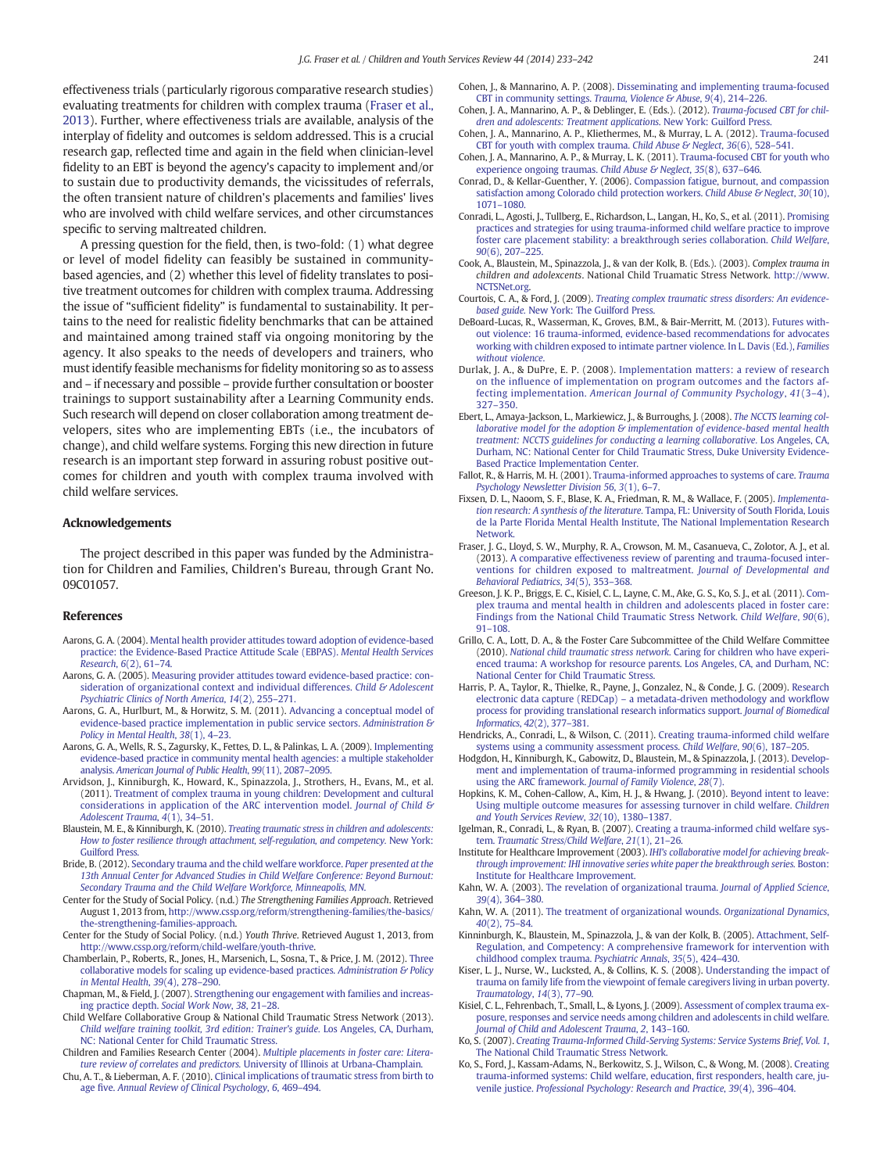<span id="page-8-0"></span>effectiveness trials (particularly rigorous comparative research studies) evaluating treatments for children with complex trauma (Fraser et al., 2013). Further, where effectiveness trials are available, analysis of the interplay of fidelity and outcomes is seldom addressed. This is a crucial research gap, reflected time and again in the field when clinician-level fidelity to an EBT is beyond the agency's capacity to implement and/or to sustain due to productivity demands, the vicissitudes of referrals, the often transient nature of children's placements and families' lives who are involved with child welfare services, and other circumstances specific to serving maltreated children.

A pressing question for the field, then, is two-fold: (1) what degree or level of model fidelity can feasibly be sustained in communitybased agencies, and (2) whether this level of fidelity translates to positive treatment outcomes for children with complex trauma. Addressing the issue of "sufficient fidelity" is fundamental to sustainability. It pertains to the need for realistic fidelity benchmarks that can be attained and maintained among trained staff via ongoing monitoring by the agency. It also speaks to the needs of developers and trainers, who must identify feasible mechanisms for fidelity monitoring so as to assess and – if necessary and possible – provide further consultation or booster trainings to support sustainability after a Learning Community ends. Such research will depend on closer collaboration among treatment developers, sites who are implementing EBTs (i.e., the incubators of change), and child welfare systems. Forging this new direction in future research is an important step forward in assuring robust positive outcomes for children and youth with complex trauma involved with child welfare services.

#### Acknowledgements

The project described in this paper was funded by the Administration for Children and Families, Children's Bureau, through Grant No. 09C01057.

#### References

- Aarons, G. A. (2004). [Mental health provider attitudes toward adoption of evidence-based](http://refhub.elsevier.com/S0190-7409(14)00227-8/rf0005) [practice: the Evidence-Based Practice Attitude Scale \(EBPAS\).](http://refhub.elsevier.com/S0190-7409(14)00227-8/rf0005) Mental Health Services [Research](http://refhub.elsevier.com/S0190-7409(14)00227-8/rf0005), 6(2), 61–74.
- Aarons, G. A. (2005). [Measuring provider attitudes toward evidence-based practice: con](http://refhub.elsevier.com/S0190-7409(14)00227-8/rf0010)[sideration of organizational context and individual differences.](http://refhub.elsevier.com/S0190-7409(14)00227-8/rf0010) Child & Adolescent [Psychiatric Clinics of North America](http://refhub.elsevier.com/S0190-7409(14)00227-8/rf0010), 14(2), 255–271.
- Aarons, G. A., Hurlburt, M., & Horwitz, S. M. (2011). [Advancing a conceptual model of](http://refhub.elsevier.com/S0190-7409(14)00227-8/rf0015) [evidence-based practice implementation in public service sectors.](http://refhub.elsevier.com/S0190-7409(14)00227-8/rf0015) Administration & [Policy in Mental Health](http://refhub.elsevier.com/S0190-7409(14)00227-8/rf0015), 38(1), 4–23.
- Aarons, G. A., Wells, R. S., Zagursky, K., Fettes, D. L., & Palinkas, L. A. (2009). [Implementing](http://refhub.elsevier.com/S0190-7409(14)00227-8/rf0020) [evidence-based practice in community mental health agencies: a multiple stakeholder](http://refhub.elsevier.com/S0190-7409(14)00227-8/rf0020) analysis. [American Journal of Public Health](http://refhub.elsevier.com/S0190-7409(14)00227-8/rf0020), 99(11), 2087–2095.
- Arvidson, J., Kinniburgh, K., Howard, K., Spinazzola, J., Strothers, H., Evans, M., et al. (2011). [Treatment of complex trauma in young children: Development and cultural](http://refhub.elsevier.com/S0190-7409(14)00227-8/rf0025) [considerations in application of the ARC intervention model.](http://refhub.elsevier.com/S0190-7409(14)00227-8/rf0025) Journal of Child & [Adolescent Trauma](http://refhub.elsevier.com/S0190-7409(14)00227-8/rf0025), 4(1), 34–51.
- Blaustein, M. E., & Kinniburgh, K. (2010). [Treating traumatic stress in children and adolescents:](http://refhub.elsevier.com/S0190-7409(14)00227-8/rf0030) [How to foster resilience through attachment, self-regulation, and competency.](http://refhub.elsevier.com/S0190-7409(14)00227-8/rf0030) New York: [Guilford Press.](http://refhub.elsevier.com/S0190-7409(14)00227-8/rf0030)
- Bride, B. (2012). [Secondary trauma and the child welfare workforce.](http://refhub.elsevier.com/S0190-7409(14)00227-8/rf0270) Paper presented at the [13th Annual Center for Advanced Studies in Child Welfare Conference: Beyond Burnout:](http://refhub.elsevier.com/S0190-7409(14)00227-8/rf0270) [Secondary Trauma and the Child Welfare Workforce, Minneapolis, MN](http://refhub.elsevier.com/S0190-7409(14)00227-8/rf0270).
- Center for the Study of Social Policy. (n.d.) The Strengthening Families Approach. Retrieved August 1, 2013 from, [http://www.cssp.org/reform/strengthening-families/the-basics/](http://www.cssp.org/reform/strengthening-families/the-basics/the-strengthening-families-approach) [the-strengthening-families-approach](http://www.cssp.org/reform/strengthening-families/the-basics/the-strengthening-families-approach).
- Center for the Study of Social Policy. (n.d.) Youth Thrive. Retrieved August 1, 2013, from <http://www.cssp.org/reform/child-welfare/youth-thrive>.
- Chamberlain, P., Roberts, R., Jones, H., Marsenich, L., Sosna, T., & Price, J. M. (2012). [Three](http://refhub.elsevier.com/S0190-7409(14)00227-8/rf0040) [collaborative models for scaling up evidence-based practices.](http://refhub.elsevier.com/S0190-7409(14)00227-8/rf0040) Administration & Policy [in Mental Health](http://refhub.elsevier.com/S0190-7409(14)00227-8/rf0040), 39(4), 278–290.
- Chapman, M., & Field, J. (2007). [Strengthening our engagement with families and increas](http://refhub.elsevier.com/S0190-7409(14)00227-8/rf0045)[ing practice depth.](http://refhub.elsevier.com/S0190-7409(14)00227-8/rf0045) Social Work Now, 38, 21–28.
- Child Welfare Collaborative Group & National Child Traumatic Stress Network (2013). [Child welfare training toolkit, 3rd edition: Trainer's guide.](http://refhub.elsevier.com/S0190-7409(14)00227-8/rf0050) Los Angeles, CA, Durham, [NC: National Center for Child Traumatic Stress.](http://refhub.elsevier.com/S0190-7409(14)00227-8/rf0050)
- Children and Families Research Center (2004). [Multiple placements in foster care: Litera](http://refhub.elsevier.com/S0190-7409(14)00227-8/rf0275)ture review of correlates and predictors. [University of Illinois at Urbana-Champlain.](http://refhub.elsevier.com/S0190-7409(14)00227-8/rf0275)
- Chu, A. T., & Lieberman, A. F. (2010). [Clinical implications of traumatic stress from birth to](http://refhub.elsevier.com/S0190-7409(14)00227-8/rf0055) age five. [Annual Review of Clinical Psychology](http://refhub.elsevier.com/S0190-7409(14)00227-8/rf0055), 6, 469–494.
- Cohen, J., & Mannarino, A. P. (2008). [Disseminating and implementing trauma-focused](http://refhub.elsevier.com/S0190-7409(14)00227-8/rf0060) [CBT in community settings.](http://refhub.elsevier.com/S0190-7409(14)00227-8/rf0060) Trauma, Violence & Abuse, 9(4), 214–226.
- Cohen, J. A., Mannarino, A. P., & Deblinger, E. (Eds.). (2012). [Trauma-focused CBT for chil](http://refhub.elsevier.com/S0190-7409(14)00227-8/rf0065)[dren and adolescents: Treatment applications](http://refhub.elsevier.com/S0190-7409(14)00227-8/rf0065). New York: Guilford Press.
- Cohen, J. A., Mannarino, A. P., Kliethermes, M., & Murray, L. A. (2012). [Trauma-focused](http://refhub.elsevier.com/S0190-7409(14)00227-8/rf0070) [CBT for youth with complex trauma.](http://refhub.elsevier.com/S0190-7409(14)00227-8/rf0070) Child Abuse & Neglect, 36(6), 528–541. Cohen, J. A., Mannarino, A. P., & Murray, L. K. (2011). [Trauma-focused CBT for youth who](http://refhub.elsevier.com/S0190-7409(14)00227-8/rf0075)
- [experience ongoing traumas.](http://refhub.elsevier.com/S0190-7409(14)00227-8/rf0075) Child Abuse & Neglect, 35(8), 637-646.
- Conrad, D., & Kellar-Guenther, Y. (2006). [Compassion fatigue, burnout, and compassion](http://refhub.elsevier.com/S0190-7409(14)00227-8/rf0080) [satisfaction among Colorado child protection workers.](http://refhub.elsevier.com/S0190-7409(14)00227-8/rf0080) Child Abuse & Neglect, 30(10), 1071–[1080.](http://refhub.elsevier.com/S0190-7409(14)00227-8/rf0080)
- Conradi, L., Agosti, J., Tullberg, E., Richardson, L., Langan, H., Ko, S., et al. (2011). [Promising](http://refhub.elsevier.com/S0190-7409(14)00227-8/rf0085) [practices and strategies for using trauma-informed child welfare practice to improve](http://refhub.elsevier.com/S0190-7409(14)00227-8/rf0085) [foster care placement stability: a breakthrough series collaboration.](http://refhub.elsevier.com/S0190-7409(14)00227-8/rf0085) Child Welfare, 90[\(6\), 207](http://refhub.elsevier.com/S0190-7409(14)00227-8/rf0085)–225.
- Cook, A., Blaustein, M., Spinazzola, J., & van der Kolk, B. (Eds.). (2003). Complex trauma in children and adolexcents. National Child Truamatic Stress Network. [http://www.](http://www.NCTSNet.org) NCTSNet.org
- Courtois, C. A., & Ford, J. (2009). [Treating complex traumatic stress disorders: An evidence](http://refhub.elsevier.com/S0190-7409(14)00227-8/rf0090)based guide. [New York: The Guilford Press.](http://refhub.elsevier.com/S0190-7409(14)00227-8/rf0090)
- DeBoard-Lucas, R., Wasserman, K., Groves, B.M., & Bair-Merritt, M. (2013). [Futures with](http://refhub.elsevier.com/S0190-7409(14)00227-8/rf0280)[out violence: 16 trauma-informed, evidence-based recommendations for advocates](http://refhub.elsevier.com/S0190-7409(14)00227-8/rf0280) [working with children exposed to intimate partner violence. In L. Davis \(Ed.\),](http://refhub.elsevier.com/S0190-7409(14)00227-8/rf0280) Families [without violence](http://refhub.elsevier.com/S0190-7409(14)00227-8/rf0280).
- Durlak, J. A., & DuPre, E. P. (2008). [Implementation matters: a review of research](http://refhub.elsevier.com/S0190-7409(14)00227-8/rf0095) on the infl[uence of implementation on program outcomes and the factors af](http://refhub.elsevier.com/S0190-7409(14)00227-8/rf0095)fecting implementation. [American Journal of Community Psychology](http://refhub.elsevier.com/S0190-7409(14)00227-8/rf0095), 41(3–4), 327–[350.](http://refhub.elsevier.com/S0190-7409(14)00227-8/rf0095)
- Ebert, L., Amaya-Jackson, L., Markiewicz, J., & Burroughs, J. (2008). [The NCCTS learning col](http://refhub.elsevier.com/S0190-7409(14)00227-8/rf0100)[laborative model for the adoption & implementation of evidence-based mental health](http://refhub.elsevier.com/S0190-7409(14)00227-8/rf0100) [treatment: NCCTS guidelines for conducting a learning collaborative.](http://refhub.elsevier.com/S0190-7409(14)00227-8/rf0100) Los Angeles, CA, [Durham, NC: National Center for Child Traumatic Stress, Duke University Evidence-](http://refhub.elsevier.com/S0190-7409(14)00227-8/rf0100)[Based Practice Implementation Center.](http://refhub.elsevier.com/S0190-7409(14)00227-8/rf0100)
- Fallot, R., & Harris, M. H. (2001). [Trauma-informed approaches to systems of care.](http://refhub.elsevier.com/S0190-7409(14)00227-8/rf0105) Trauma [Psychology Newsletter Division 56](http://refhub.elsevier.com/S0190-7409(14)00227-8/rf0105), 3(1), 6–7.
- Fixsen, D. L., Naoom, S. F., Blase, K. A., Friedman, R. M., & Wallace, F. (2005). [Implementa](http://refhub.elsevier.com/S0190-7409(14)00227-8/rf0110)tion research: A synthesis of the literature. [Tampa, FL: University of South Florida, Louis](http://refhub.elsevier.com/S0190-7409(14)00227-8/rf0110) [de la Parte Florida Mental Health Institute, The National Implementation Research](http://refhub.elsevier.com/S0190-7409(14)00227-8/rf0110) **Network**
- Fraser, J. G., Lloyd, S. W., Murphy, R. A., Crowson, M. M., Casanueva, C., Zolotor, A. J., et al. (2013). [A comparative effectiveness review of parenting and trauma-focused inter](http://refhub.elsevier.com/S0190-7409(14)00227-8/rf0115)[ventions for children exposed to maltreatment.](http://refhub.elsevier.com/S0190-7409(14)00227-8/rf0115) Journal of Developmental and [Behavioral Pediatrics](http://refhub.elsevier.com/S0190-7409(14)00227-8/rf0115), 34(5), 353–368.
- Greeson, J. K. P., Briggs, E. C., Kisiel, C. L., Layne, C. M., Ake, G. S., Ko, S. J., et al. (2011). [Com](http://refhub.elsevier.com/S0190-7409(14)00227-8/rf0120)[plex trauma and mental health in children and adolescents placed in foster care:](http://refhub.elsevier.com/S0190-7409(14)00227-8/rf0120) [Findings from the National Child Traumatic Stress Network.](http://refhub.elsevier.com/S0190-7409(14)00227-8/rf0120) Child Welfare, 90(6), 91–[108.](http://refhub.elsevier.com/S0190-7409(14)00227-8/rf0120)
- Grillo, C. A., Lott, D. A., & the Foster Care Subcommittee of the Child Welfare Committee (2010). [National child traumatic stress network.](http://refhub.elsevier.com/S0190-7409(14)00227-8/rf0285) Caring for children who have experi[enced trauma: A workshop for resource parents. Los Angeles, CA, and Durham, NC:](http://refhub.elsevier.com/S0190-7409(14)00227-8/rf0285) [National Center for Child Traumatic Stress.](http://refhub.elsevier.com/S0190-7409(14)00227-8/rf0285)
- Harris, P. A., Taylor, R., Thielke, R., Payne, J., Gonzalez, N., & Conde, J. G. (2009). [Research](http://refhub.elsevier.com/S0190-7409(14)00227-8/rf0125) electronic data capture (REDCap) – [a metadata-driven methodology and work](http://refhub.elsevier.com/S0190-7409(14)00227-8/rf0125)flow [process for providing translational research informatics support.](http://refhub.elsevier.com/S0190-7409(14)00227-8/rf0125) Journal of Biomedical [Informatics](http://refhub.elsevier.com/S0190-7409(14)00227-8/rf0125), 42(2), 377–381.
- Hendricks, A., Conradi, L., & Wilson, C. (2011). [Creating trauma-informed child welfare](http://refhub.elsevier.com/S0190-7409(14)00227-8/rf0130) [systems using a community assessment process.](http://refhub.elsevier.com/S0190-7409(14)00227-8/rf0130) Child Welfare, 90(6), 187–205.
- Hodgdon, H., Kinniburgh, K., Gabowitz, D., Blaustein, M., & Spinazzola, J. (2013). [Develop](http://refhub.elsevier.com/S0190-7409(14)00227-8/rf0135)[ment and implementation of trauma-informed programming in residential schools](http://refhub.elsevier.com/S0190-7409(14)00227-8/rf0135) [using the ARC framework.](http://refhub.elsevier.com/S0190-7409(14)00227-8/rf0135) Journal of Family Violence, 28(7).
- Hopkins, K. M., Cohen-Callow, A., Kim, H. J., & Hwang, J. (2010). [Beyond intent to leave:](http://refhub.elsevier.com/S0190-7409(14)00227-8/rf0140) [Using multiple outcome measures for assessing turnover in child welfare.](http://refhub.elsevier.com/S0190-7409(14)00227-8/rf0140) Children [and Youth Services Review](http://refhub.elsevier.com/S0190-7409(14)00227-8/rf0140), 32(10), 1380–1387.
- Igelman, R., Conradi, L., & Ryan, B. (2007). [Creating a trauma-informed child welfare sys](http://refhub.elsevier.com/S0190-7409(14)00227-8/rf0150)tem. [Traumatic Stress/Child Welfare](http://refhub.elsevier.com/S0190-7409(14)00227-8/rf0150), 21(1), 21–26.
- Institute for Healthcare Improvement (2003). [IHI's collaborative model for achieving break](http://refhub.elsevier.com/S0190-7409(14)00227-8/rf0155)[through improvement: IHI innovative series white paper the breakthrough series.](http://refhub.elsevier.com/S0190-7409(14)00227-8/rf0155) Boston: [Institute for Healthcare Improvement.](http://refhub.elsevier.com/S0190-7409(14)00227-8/rf0155)
- Kahn, W. A. (2003). [The revelation of organizational trauma.](http://refhub.elsevier.com/S0190-7409(14)00227-8/rf0165) Journal of Applied Science, 39[\(4\), 364](http://refhub.elsevier.com/S0190-7409(14)00227-8/rf0165)–380.
- Kahn, W. A. (2011). [The treatment of organizational wounds.](http://refhub.elsevier.com/S0190-7409(14)00227-8/rf0160) Organizational Dynamics, 40[\(2\), 75](http://refhub.elsevier.com/S0190-7409(14)00227-8/rf0160)–84.
- Kinninburgh, K., Blaustein, M., Spinazzola, J., & van der Kolk, B. (2005). [Attachment, Self-](http://refhub.elsevier.com/S0190-7409(14)00227-8/rf9005)[Regulation, and Competency: A comprehensive framework for intervention with](http://refhub.elsevier.com/S0190-7409(14)00227-8/rf9005) [childhood complex trauma.](http://refhub.elsevier.com/S0190-7409(14)00227-8/rf9005) Psychiatric Annals, 35(5), 424–430.
- Kiser, L. J., Nurse, W., Lucksted, A., & Collins, K. S. (2008). [Understanding the impact of](http://refhub.elsevier.com/S0190-7409(14)00227-8/rf0170) [trauma on family life from the viewpoint of female caregivers living in urban poverty.](http://refhub.elsevier.com/S0190-7409(14)00227-8/rf0170) [Traumatology](http://refhub.elsevier.com/S0190-7409(14)00227-8/rf0170), 14(3), 77–90.
- Kisiel, C. L., Fehrenbach, T., Small, L., & Lyons, J. (2009). [Assessment of complex trauma ex](http://refhub.elsevier.com/S0190-7409(14)00227-8/rf0175)[posure, responses and service needs among children and adolescents in child welfare.](http://refhub.elsevier.com/S0190-7409(14)00227-8/rf0175) [Journal of Child and Adolescent Trauma](http://refhub.elsevier.com/S0190-7409(14)00227-8/rf0175), 2, 143–160.
- Ko, S. (2007). [Creating Trauma-Informed Child-Serving Systems: Service Systems Brief](http://refhub.elsevier.com/S0190-7409(14)00227-8/rf0290), Vol. 1, [The National Child Traumatic Stress Network.](http://refhub.elsevier.com/S0190-7409(14)00227-8/rf0290)
- Ko, S., Ford, J., Kassam-Adams, N., Berkowitz, S. J., Wilson, C., & Wong, M. (2008). [Creating](http://refhub.elsevier.com/S0190-7409(14)00227-8/rf0180) [trauma-informed systems: Child welfare, education,](http://refhub.elsevier.com/S0190-7409(14)00227-8/rf0180) first responders, health care, juvenile justice. [Professional Psychology: Research and Practice](http://refhub.elsevier.com/S0190-7409(14)00227-8/rf0180), 39(4), 396–404.